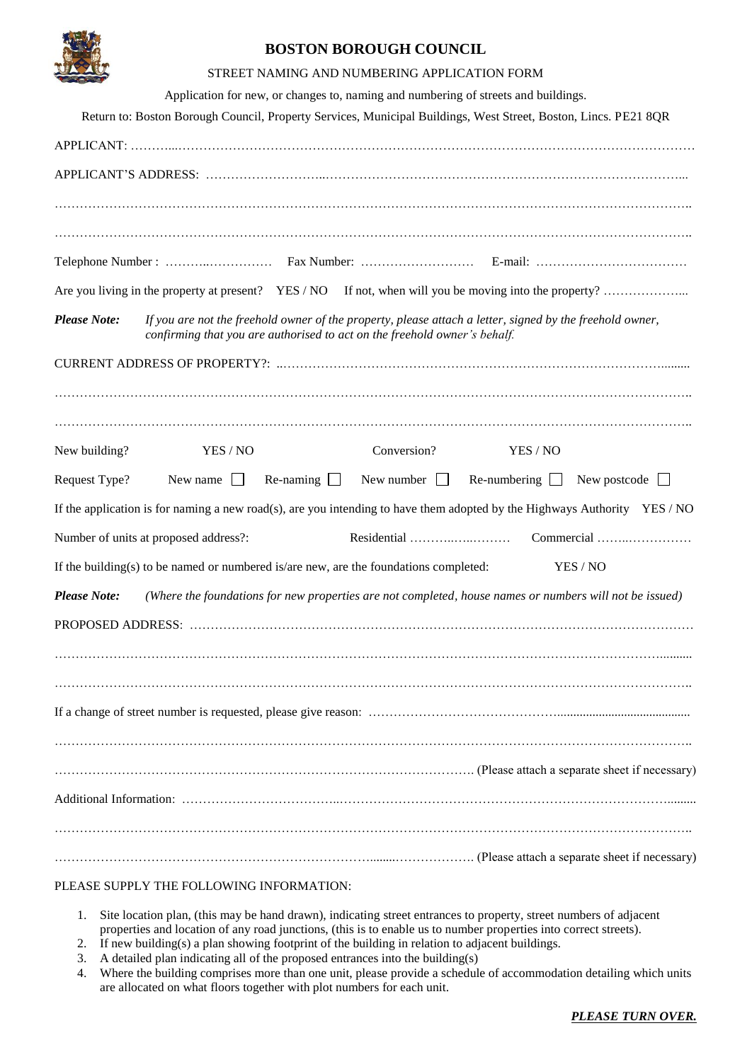

## **BOSTON BOROUGH COUNCIL**

|                                                                                                                                                                                                              |                                                                                       |                  | STREET NAMING AND NUMBERING APPLICATION FORM                                       |          |                                                                                                                         |  |  |
|--------------------------------------------------------------------------------------------------------------------------------------------------------------------------------------------------------------|---------------------------------------------------------------------------------------|------------------|------------------------------------------------------------------------------------|----------|-------------------------------------------------------------------------------------------------------------------------|--|--|
|                                                                                                                                                                                                              |                                                                                       |                  | Application for new, or changes to, naming and numbering of streets and buildings. |          |                                                                                                                         |  |  |
|                                                                                                                                                                                                              |                                                                                       |                  |                                                                                    |          | Return to: Boston Borough Council, Property Services, Municipal Buildings, West Street, Boston, Lincs. PE21 8QR         |  |  |
|                                                                                                                                                                                                              |                                                                                       |                  |                                                                                    |          |                                                                                                                         |  |  |
|                                                                                                                                                                                                              |                                                                                       |                  |                                                                                    |          |                                                                                                                         |  |  |
|                                                                                                                                                                                                              |                                                                                       |                  |                                                                                    |          |                                                                                                                         |  |  |
|                                                                                                                                                                                                              |                                                                                       |                  |                                                                                    |          |                                                                                                                         |  |  |
|                                                                                                                                                                                                              |                                                                                       |                  |                                                                                    |          |                                                                                                                         |  |  |
|                                                                                                                                                                                                              |                                                                                       |                  |                                                                                    |          |                                                                                                                         |  |  |
| <b>Please Note:</b><br>If you are not the freehold owner of the property, please attach a letter, signed by the freehold owner,<br>confirming that you are authorised to act on the freehold owner's behalf. |                                                                                       |                  |                                                                                    |          |                                                                                                                         |  |  |
|                                                                                                                                                                                                              |                                                                                       |                  |                                                                                    |          |                                                                                                                         |  |  |
|                                                                                                                                                                                                              |                                                                                       |                  |                                                                                    |          |                                                                                                                         |  |  |
|                                                                                                                                                                                                              |                                                                                       |                  |                                                                                    |          |                                                                                                                         |  |  |
| New building?                                                                                                                                                                                                | YES / NO                                                                              |                  | Conversion?                                                                        | YES / NO |                                                                                                                         |  |  |
| Request Type?                                                                                                                                                                                                | New name $\Box$                                                                       | Re-naming $\Box$ | New number $\Box$                                                                  |          | Re-numbering $\Box$ New postcode $\Box$                                                                                 |  |  |
|                                                                                                                                                                                                              |                                                                                       |                  |                                                                                    |          | If the application is for naming a new road(s), are you intending to have them adopted by the Highways Authority YES/NO |  |  |
|                                                                                                                                                                                                              | Number of units at proposed address?:                                                 |                  |                                                                                    |          | Commercial                                                                                                              |  |  |
|                                                                                                                                                                                                              | If the building(s) to be named or numbered is/are new, are the foundations completed: |                  |                                                                                    |          | YES / NO                                                                                                                |  |  |
| <b>Please Note:</b>                                                                                                                                                                                          |                                                                                       |                  |                                                                                    |          | (Where the foundations for new properties are not completed, house names or numbers will not be issued)                 |  |  |
|                                                                                                                                                                                                              |                                                                                       |                  |                                                                                    |          |                                                                                                                         |  |  |
|                                                                                                                                                                                                              |                                                                                       |                  |                                                                                    |          |                                                                                                                         |  |  |
|                                                                                                                                                                                                              |                                                                                       |                  |                                                                                    |          |                                                                                                                         |  |  |
|                                                                                                                                                                                                              |                                                                                       |                  |                                                                                    |          |                                                                                                                         |  |  |
|                                                                                                                                                                                                              |                                                                                       |                  |                                                                                    |          |                                                                                                                         |  |  |
|                                                                                                                                                                                                              |                                                                                       |                  |                                                                                    |          |                                                                                                                         |  |  |
|                                                                                                                                                                                                              |                                                                                       |                  |                                                                                    |          |                                                                                                                         |  |  |
|                                                                                                                                                                                                              |                                                                                       |                  |                                                                                    |          |                                                                                                                         |  |  |
|                                                                                                                                                                                                              |                                                                                       |                  |                                                                                    |          |                                                                                                                         |  |  |
|                                                                                                                                                                                                              |                                                                                       |                  |                                                                                    |          |                                                                                                                         |  |  |

PLEASE SUPPLY THE FOLLOWING INFORMATION:

- 1. Site location plan, (this may be hand drawn), indicating street entrances to property, street numbers of adjacent properties and location of any road junctions, (this is to enable us to number properties into correct streets).
- 2. If new building(s) a plan showing footprint of the building in relation to adjacent buildings.
- 3. A detailed plan indicating all of the proposed entrances into the building(s)
- 4. Where the building comprises more than one unit, please provide a schedule of accommodation detailing which units are allocated on what floors together with plot numbers for each unit.